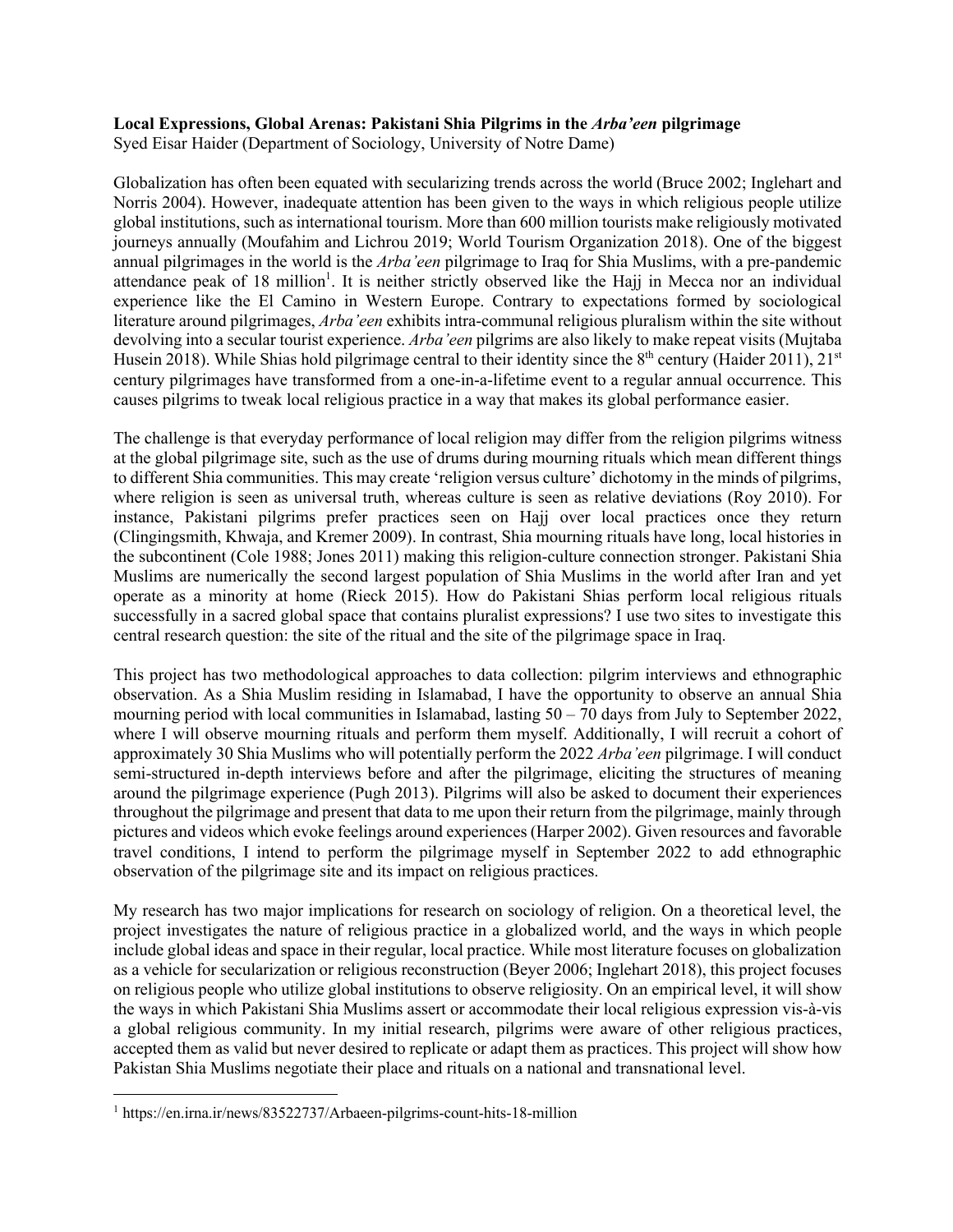## **Local Expressions, Global Arenas: Pakistani Shia Pilgrims in the** *Arba'een* **pilgrimage**

Syed Eisar Haider (Department of Sociology, University of Notre Dame)

Globalization has often been equated with secularizing trends across the world (Bruce 2002; Inglehart and Norris 2004). However, inadequate attention has been given to the ways in which religious people utilize global institutions, such as international tourism. More than 600 million tourists make religiously motivated journeys annually (Moufahim and Lichrou 2019; World Tourism Organization 2018). One of the biggest annual pilgrimages in the world is the *Arba'een* pilgrimage to Iraq for Shia Muslims, with a pre-pandemic attendance peak of 18 million<sup>1</sup>. It is neither strictly observed like the Hajj in Mecca nor an individual experience like the El Camino in Western Europe. Contrary to expectations formed by sociological literature around pilgrimages, *Arba'een* exhibits intra-communal religious pluralism within the site without devolving into a secular tourist experience. *Arba'een* pilgrims are also likely to make repeat visits (Mujtaba Husein 2018). While Shias hold pilgrimage central to their identity since the  $8<sup>th</sup>$  century (Haider 2011), 21<sup>st</sup> century pilgrimages have transformed from a one-in-a-lifetime event to a regular annual occurrence. This causes pilgrims to tweak local religious practice in a way that makes its global performance easier.

The challenge is that everyday performance of local religion may differ from the religion pilgrims witness at the global pilgrimage site, such as the use of drums during mourning rituals which mean different things to different Shia communities. This may create 'religion versus culture' dichotomy in the minds of pilgrims, where religion is seen as universal truth, whereas culture is seen as relative deviations (Roy 2010). For instance, Pakistani pilgrims prefer practices seen on Hajj over local practices once they return (Clingingsmith, Khwaja, and Kremer 2009). In contrast, Shia mourning rituals have long, local histories in the subcontinent (Cole 1988; Jones 2011) making this religion-culture connection stronger. Pakistani Shia Muslims are numerically the second largest population of Shia Muslims in the world after Iran and yet operate as a minority at home (Rieck 2015). How do Pakistani Shias perform local religious rituals successfully in a sacred global space that contains pluralist expressions? I use two sites to investigate this central research question: the site of the ritual and the site of the pilgrimage space in Iraq.

This project has two methodological approaches to data collection: pilgrim interviews and ethnographic observation. As a Shia Muslim residing in Islamabad, I have the opportunity to observe an annual Shia mourning period with local communities in Islamabad, lasting  $50 - 70$  days from July to September 2022, where I will observe mourning rituals and perform them myself. Additionally, I will recruit a cohort of approximately 30 Shia Muslims who will potentially perform the 2022 *Arba'een* pilgrimage. I will conduct semi-structured in-depth interviews before and after the pilgrimage, eliciting the structures of meaning around the pilgrimage experience (Pugh 2013). Pilgrims will also be asked to document their experiences throughout the pilgrimage and present that data to me upon their return from the pilgrimage, mainly through pictures and videos which evoke feelings around experiences (Harper 2002). Given resources and favorable travel conditions, I intend to perform the pilgrimage myself in September 2022 to add ethnographic observation of the pilgrimage site and its impact on religious practices.

My research has two major implications for research on sociology of religion. On a theoretical level, the project investigates the nature of religious practice in a globalized world, and the ways in which people include global ideas and space in their regular, local practice. While most literature focuses on globalization as a vehicle for secularization or religious reconstruction (Beyer 2006; Inglehart 2018), this project focuses on religious people who utilize global institutions to observe religiosity. On an empirical level, it will show the ways in which Pakistani Shia Muslims assert or accommodate their local religious expression vis-à-vis a global religious community. In my initial research, pilgrims were aware of other religious practices, accepted them as valid but never desired to replicate or adapt them as practices. This project will show how Pakistan Shia Muslims negotiate their place and rituals on a national and transnational level.

<sup>1</sup> https://en.irna.ir/news/83522737/Arbaeen-pilgrims-count-hits-18-million